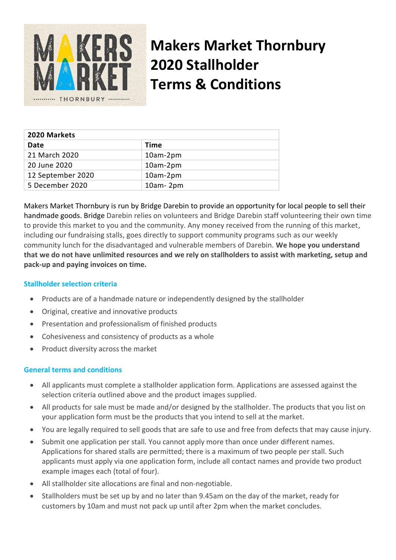

# **Makers Market Thornbury 2020 Stallholder Terms & Conditions**

| 2020 Markets      |              |
|-------------------|--------------|
| Date              | Time         |
| 21 March 2020     | 10am-2pm     |
| 20 June 2020      | $10am-2pm$   |
| 12 September 2020 | 10am-2pm     |
| 5 December 2020   | $10am - 2pm$ |

Makers Market Thornbury is run by Bridge Darebin to provide an opportunity for local people to sell their handmade goods. Bridge Darebin relies on volunteers and Bridge Darebin staff volunteering their own time to provide this market to you and the community. Any money received from the running of this market, including our fundraising stalls, goes directly to support community programs such as our weekly community lunch for the disadvantaged and vulnerable members of Darebin. **We hope you understand that we do not have unlimited resources and we rely on stallholders to assist with marketing, setup and pack-up and paying invoices on time.**

## **Stallholder selection criteria**

- Products are of a handmade nature or independently designed by the stallholder
- Original, creative and innovative products
- Presentation and professionalism of finished products
- Cohesiveness and consistency of products as a whole
- Product diversity across the market

#### **General terms and conditions**

- All applicants must complete a stallholder application form. Applications are assessed against the selection criteria outlined above and the product images supplied.
- All products for sale must be made and/or designed by the stallholder. The products that you list on your application form must be the products that you intend to sell at the market.
- You are legally required to sell goods that are safe to use and free from defects that may cause injury.
- Submit one application per stall. You cannot apply more than once under different names. Applications for shared stalls are permitted; there is a maximum of two people per stall. Such applicants must apply via one application form, include all contact names and provide two product example images each (total of four).
- All stallholder site allocations are final and non-negotiable.
- Stallholders must be set up by and no later than 9.45am on the day of the market, ready for customers by 10am and must not pack up until after 2pm when the market concludes.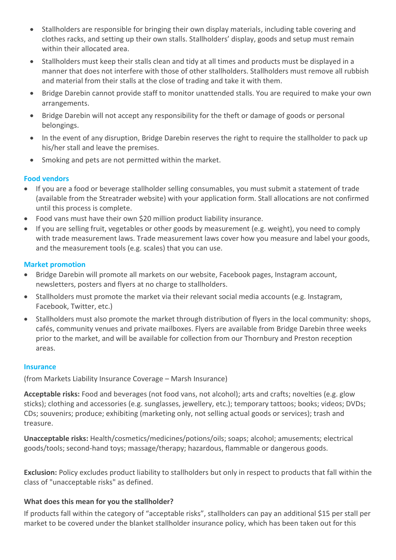- Stallholders are responsible for bringing their own display materials, including table covering and clothes racks, and setting up their own stalls. Stallholders' display, goods and setup must remain within their allocated area.
- Stallholders must keep their stalls clean and tidy at all times and products must be displayed in a manner that does not interfere with those of other stallholders. Stallholders must remove all rubbish and material from their stalls at the close of trading and take it with them.
- Bridge Darebin cannot provide staff to monitor unattended stalls. You are required to make your own arrangements.
- Bridge Darebin will not accept any responsibility for the theft or damage of goods or personal belongings.
- In the event of any disruption, Bridge Darebin reserves the right to require the stallholder to pack up his/her stall and leave the premises.
- Smoking and pets are not permitted within the market.

### **Food vendors**

- If you are a food or beverage stallholder selling consumables, you must submit a statement of trade (available from the Streatrader website) with your application form. Stall allocations are not confirmed until this process is complete.
- Food vans must have their own \$20 million product liability insurance.
- If you are selling fruit, vegetables or other goods by measurement (e.g. weight), you need to comply with trade measurement laws. Trade measurement laws cover how you measure and label your goods, and the measurement tools (e.g. scales) that you can use.

#### **Market promotion**

- Bridge Darebin will promote all markets on our website, Facebook pages, Instagram account, newsletters, posters and flyers at no charge to stallholders.
- Stallholders must promote the market via their relevant social media accounts (e.g. Instagram, Facebook, Twitter, etc.)
- Stallholders must also promote the market through distribution of flyers in the local community: shops, cafés, community venues and private mailboxes. Flyers are available from Bridge Darebin three weeks prior to the market, and will be available for collection from our Thornbury and Preston reception areas.

#### **Insurance**

(from Markets Liability Insurance Coverage – Marsh Insurance)

**Acceptable risks:** Food and beverages (not food vans, not alcohol); arts and crafts; novelties (e.g. glow sticks); clothing and accessories (e.g. sunglasses, jewellery, etc.); temporary tattoos; books; videos; DVDs; CDs; souvenirs; produce; exhibiting (marketing only, not selling actual goods or services); trash and treasure.

**Unacceptable risks:** Health/cosmetics/medicines/potions/oils; soaps; alcohol; amusements; electrical goods/tools; second-hand toys; massage/therapy; hazardous, flammable or dangerous goods.

**Exclusion:** Policy excludes product liability to stallholders but only in respect to products that fall within the class of "unacceptable risks" as defined.

#### **What does this mean for you the stallholder?**

If products fall within the category of "acceptable risks", stallholders can pay an additional \$15 per stall per market to be covered under the blanket stallholder insurance policy, which has been taken out for this